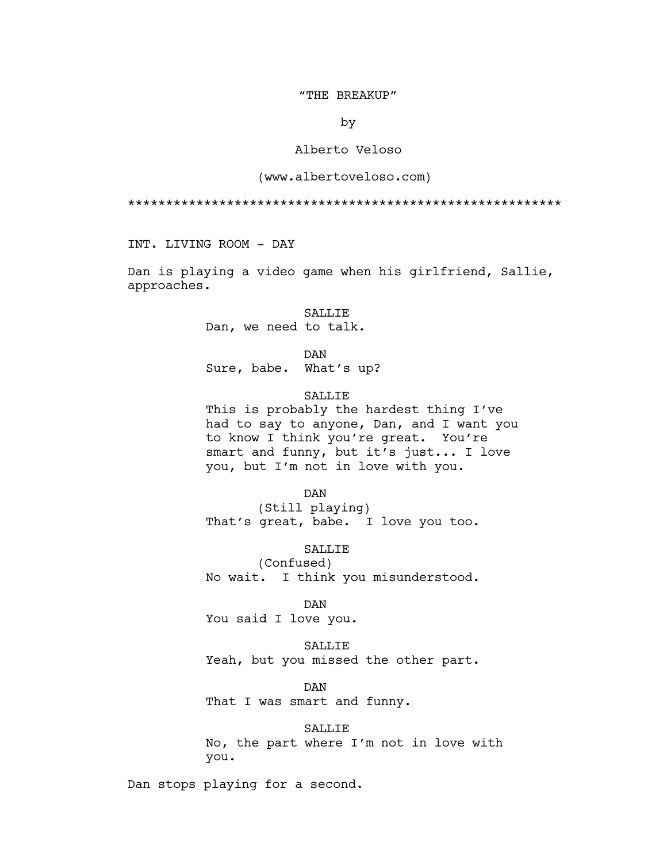#### "THE BREAKUP"

by

## Alberto Veloso

### (www.albertoveloso.com)

\*\*\*\*\*\*\*\*\*\*\*\*\*\*\*\*\*\*\*\*\*\*\*\*\*\*\*\*\*\*\*\*\*\*\*\*\*\*\*\*\*\*\*\*\*\*\*\*\*\*\*\*\*\*\*\*\*

INT. LIVING ROOM - DAY

Dan is playing a video game when his girlfriend, Sallie, approaches.

# SALLIE

Dan, we need to talk.

## DAN

Sure, babe. What's up?

# SALLIE

This is probably the hardest thing I've had to say to anyone, Dan, and I want you to know I think you're great. You're smart and funny, but it's just... I love you, but I'm not in love with you.

# DAN

(Still playing) That's great, babe. I love you too.

## SALLIE

(Confused) No wait. I think you misunderstood.

## DAN

You said I love you.

SALLIE Yeah, but you missed the other part.

DAN That I was smart and funny.

### SALLIE

No, the part where I'm not in love with you.

Dan stops playing for a second.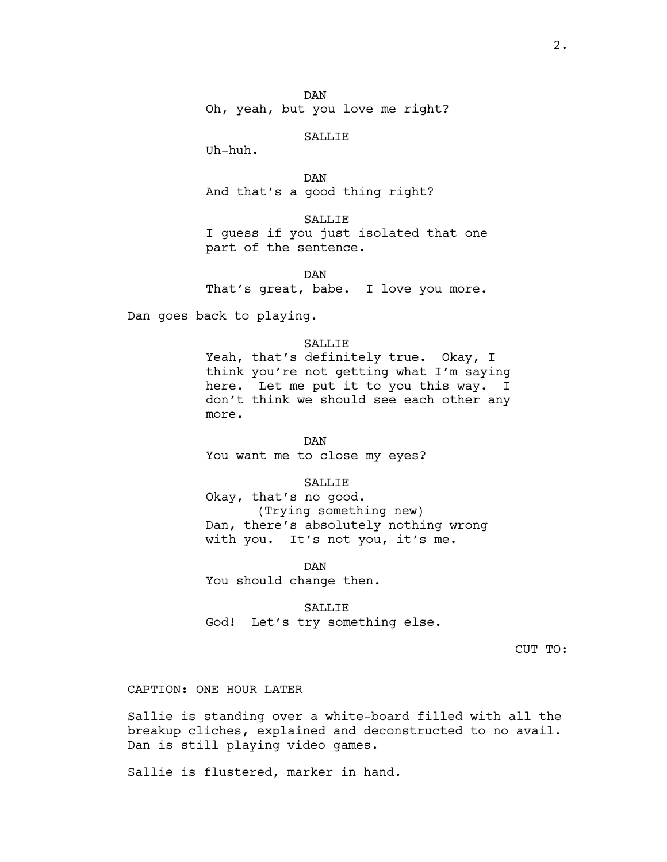DAN Oh, yeah, but you love me right?

SALLIE

Uh-huh.

DAN And that's a good thing right?

SALLIE I guess if you just isolated that one part of the sentence.

DAN That's great, babe. I love you more.

Dan goes back to playing.

## SALLIE

Yeah, that's definitely true. Okay, I think you're not getting what I'm saying here. Let me put it to you this way. I don't think we should see each other any more.

DAN You want me to close my eyes?

SALLIE

Okay, that's no good. (Trying something new) Dan, there's absolutely nothing wrong with you. It's not you, it's me.

DAN You should change then.

SALLIE God! Let's try something else.

CUT TO:

CAPTION: ONE HOUR LATER

Sallie is standing over a white-board filled with all the breakup cliches, explained and deconstructed to no avail. Dan is still playing video games.

Sallie is flustered, marker in hand.